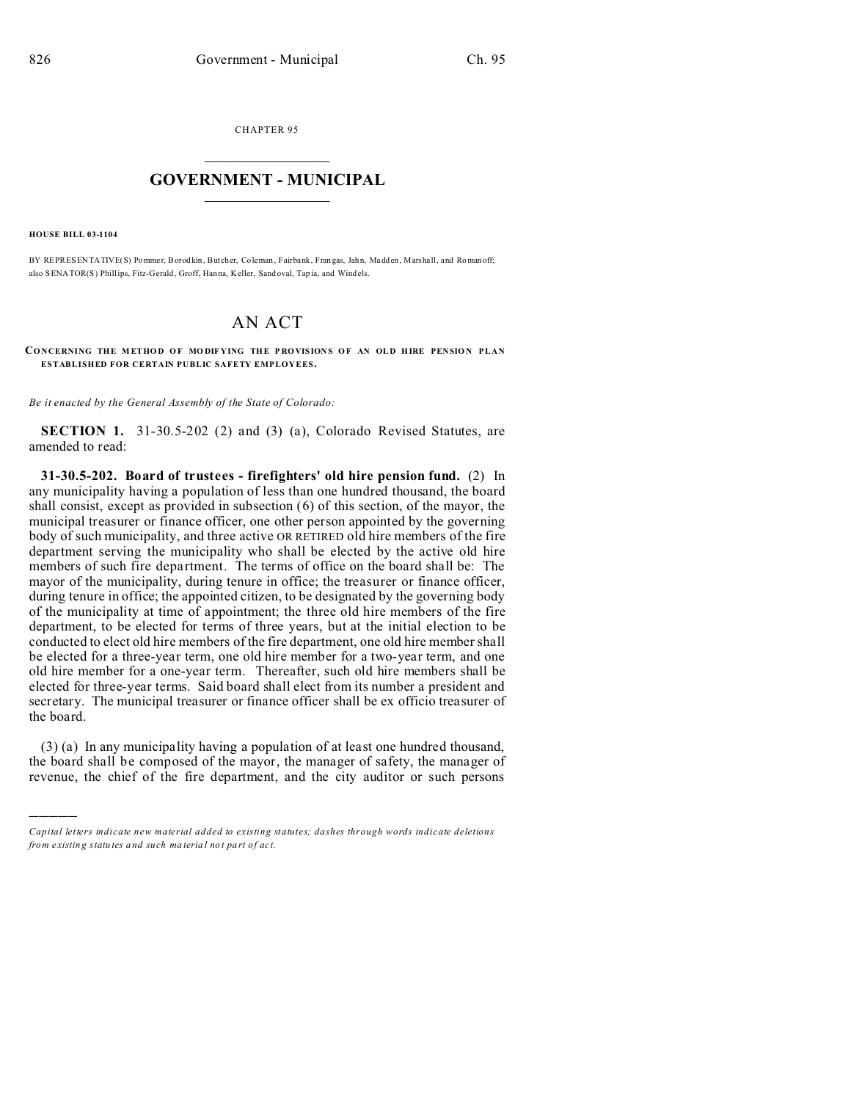CHAPTER 95  $\overline{\phantom{a}}$  , where  $\overline{\phantom{a}}$ 

## **GOVERNMENT - MUNICIPAL**  $\_$   $\_$

**HOUSE BILL 03-1104**

)))))

BY REPRESENTATIVE(S) Pommer, Borod kin, But cher, Coleman , Fairbank, Fran gas, Jah n, Madd en, Marshall, and Roman off; also SENATOR(S) Phillips, Fitz-Gerald, Groff, Hanna, Keller, Sand oval, Tap ia, and Windels.

## AN ACT

**CO NCERNING THE M ETHO D O F MO DIF YING THE P RO VISION S O F AN OL D H IRE PEN SIO N PLAN ESTABLISHED FOR CERTAIN PUBLIC SAFETY EMPLOYEES.**

*Be it enacted by the General Assembly of the State of Colorado:*

**SECTION 1.** 31-30.5-202 (2) and (3) (a), Colorado Revised Statutes, are amended to read:

**31-30.5-202. Board of trustees - firefighters' old hire pension fund.** (2) In any municipality having a population of less than one hundred thousand, the board shall consist, except as provided in subsection (6) of this section, of the mayor, the municipal treasurer or finance officer, one other person appointed by the governing body of such municipality, and three active OR RETIRED old hire members of the fire department serving the municipality who shall be elected by the active old hire members of such fire department. The terms of office on the board shall be: The mayor of the municipality, during tenure in office; the treasurer or finance officer, during tenure in office; the appointed citizen, to be designated by the governing body of the municipality at time of appointment; the three old hire members of the fire department, to be elected for terms of three years, but at the initial election to be conducted to elect old hire members of the fire department, one old hire member shall be elected for a three-year term, one old hire member for a two-year term, and one old hire member for a one-year term. Thereafter, such old hire members shall be elected for three-year terms. Said board shall elect from its number a president and secretary. The municipal treasurer or finance officer shall be ex officio treasurer of the board.

(3) (a) In any municipality having a population of at least one hundred thousand, the board shall be composed of the mayor, the manager of safety, the manager of revenue, the chief of the fire department, and the city auditor or such persons

*Capital letters indicate new material added to existing statutes; dashes through words indicate deletions from e xistin g statu tes a nd such ma teria l no t pa rt of ac t.*